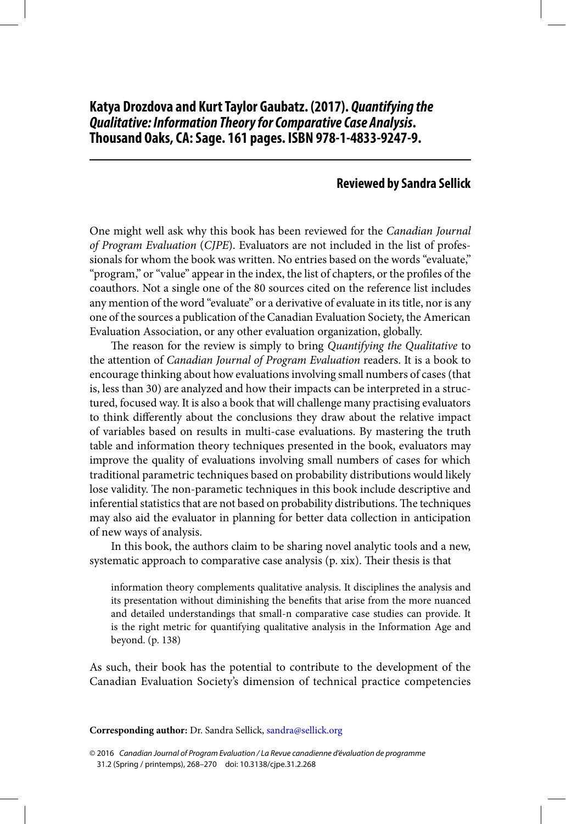## **Reviewed by Sandra Sellick**

 One might well ask why this book has been reviewed for the Canadian Journal of Program Evaluation (CJPE). Evaluators are not included in the list of professionals for whom the book was written. No entries based on the words "evaluate," "program," or "value" appear in the index, the list of chapters, or the profiles of the coauthors. Not a single one of the 80 sources cited on the reference list includes any mention of the word "evaluate" or a derivative of evaluate in its title, nor is any one of the sources a publication of the Canadian Evaluation Society, the American Evaluation Association, or any other evaluation organization, globally.

The reason for the review is simply to bring Quantifying the Qualitative to the attention of Canadian Journal of Program Evaluation readers. It is a book to encourage thinking about how evaluations involving small numbers of cases (that is, less than 30) are analyzed and how their impacts can be interpreted in a structured, focused way. It is also a book that will challenge many practising evaluators to think differently about the conclusions they draw about the relative impact of variables based on results in multi-case evaluations. By mastering the truth table and information theory techniques presented in the book, evaluators may improve the quality of evaluations involving small numbers of cases for which traditional parametric techniques based on probability distributions would likely lose validity. The non-parametic techniques in this book include descriptive and inferential statistics that are not based on probability distributions. The techniques may also aid the evaluator in planning for better data collection in anticipation of new ways of analysis.

 In this book, the authors claim to be sharing novel analytic tools and a new, systematic approach to comparative case analysis (p. xix). Their thesis is that

 information theory complements qualitative analysis. It disciplines the analysis and its presentation without diminishing the benefits that arise from the more nuanced and detailed understandings that small-n comparative case studies can provide. It is the right metric for quantifying qualitative analysis in the Information Age and beyond. (p. 138)

 As such, their book has the potential to contribute to the development of the Canadian Evaluation Society's dimension of technical practice competencies

**Corresponding author:** Dr. Sandra Sellick, [sandra@sellick.org](mailto:sandra@sellick.org)

© 2016 Canadian Journal of Program Evaluation / La Revue canadienne d'évaluation de programme 31.2 (Spring / printemps), 268–270 doi: 10.3138/cjpe.31.2.268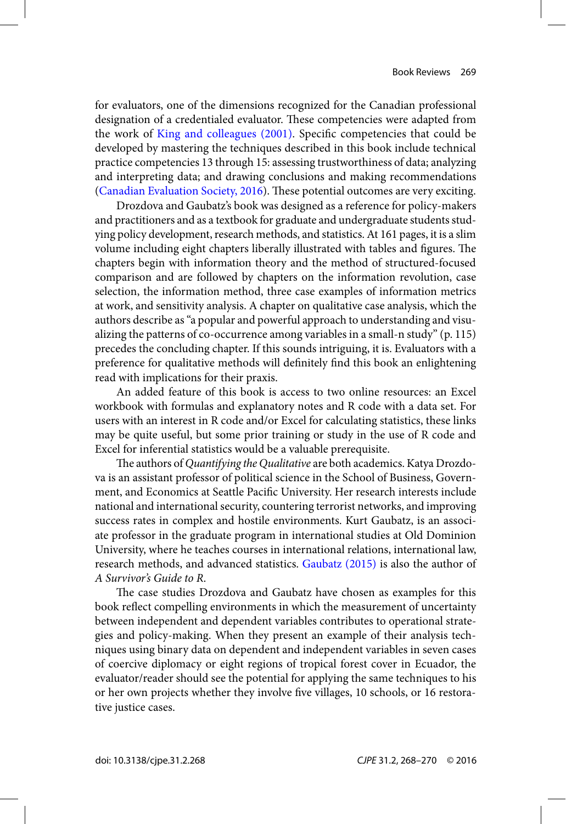<span id="page-1-0"></span>for evaluators, one of the dimensions recognized for the Canadian professional designation of a credentialed evaluator. These competencies were adapted from the work of [King and colleagues \(2001\)](#page-2-0). Specific competencies that could be developed by mastering the techniques described in this book include technical practice competencies 13 through 15: assessing trustworthiness of data; analyzing and interpreting data; and drawing conclusions and making recommendations (Canadian Evaluation Society, 2016). These potential outcomes are very exciting.

 Drozdova and Gaubatz's book was designed as a reference for policy-makers and practitioners and as a textbook for graduate and undergraduate students studying policy development, research methods, and statistics. At 161 pages, it is a slim volume including eight chapters liberally illustrated with tables and figures. The chapters begin with information theory and the method of structured-focused comparison and are followed by chapters on the information revolution, case selection, the information method, three case examples of information metrics at work, and sensitivity analysis. A chapter on qualitative case analysis, which the authors describe as "a popular and powerful approach to understanding and visualizing the patterns of co-occurrence among variables in a small-n study" (p. 115) precedes the concluding chapter. If this sounds intriguing, it is. Evaluators with a preference for qualitative methods will definitely find this book an enlightening read with implications for their praxis.

 An added feature of this book is access to two online resources: an Excel workbook with formulas and explanatory notes and R code with a data set. For users with an interest in R code and/or Excel for calculating statistics, these links may be quite useful, but some prior training or study in the use of R code and Excel for inferential statistics would be a valuable prerequisite.

The authors of Quantifying the Qualitative are both academics. Katya Drozdova is an assistant professor of political science in the School of Business, Government, and Economics at Seattle Pacific University. Her research interests include national and international security, countering terrorist networks, and improving success rates in complex and hostile environments. Kurt Gaubatz, is an associate professor in the graduate program in international studies at Old Dominion University, where he teaches courses in international relations, international law, research methods, and advanced statistics. Gaubatz (2015) is also the author of A Survivor's Guide to R.

The case studies Drozdova and Gaubatz have chosen as examples for this book reflect compelling environments in which the measurement of uncertainty between independent and dependent variables contributes to operational strategies and policy-making. When they present an example of their analysis techniques using binary data on dependent and independent variables in seven cases of coercive diplomacy or eight regions of tropical forest cover in Ecuador, the evaluator/reader should see the potential for applying the same techniques to his or her own projects whether they involve five villages, 10 schools, or 16 restorative justice cases.